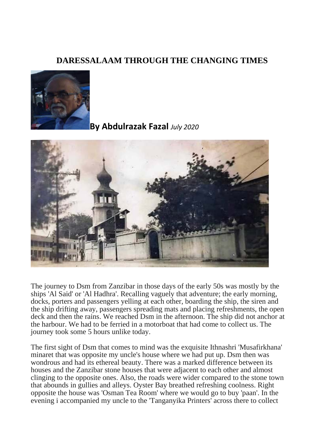## **DARESSALAAM THROUGH THE CHANGING TIMES**



**By Abdulrazak Fazal** *July 2020*



The journey to Dsm from Zanzibar in those days of the early 50s was mostly by the ships 'Al Said' or 'Al Hadhra'. Recalling vaguely that adventure; the early morning, docks, porters and passengers yelling at each other, boarding the ship, the siren and the ship drifting away, passengers spreading mats and placing refreshments, the open deck and then the rains. We reached Dsm in the afternoon. The ship did not anchor at the harbour. We had to be ferried in a motorboat that had come to collect us. The journey took some 5 hours unlike today.

The first sight of Dsm that comes to mind was the exquisite Ithnashri 'Musafirkhana' minaret that was opposite my uncle's house where we had put up. Dsm then was wondrous and had its ethereal beauty. There was a marked difference between its houses and the Zanzibar stone houses that were adjacent to each other and almost clinging to the opposite ones. Also, the roads were wider compared to the stone town that abounds in gullies and alleys. Oyster Bay breathed refreshing coolness. Right opposite the house was 'Osman Tea Room' where we would go to buy 'paan'. In the evening i accompanied my uncle to the 'Tanganyika Printers' across there to collect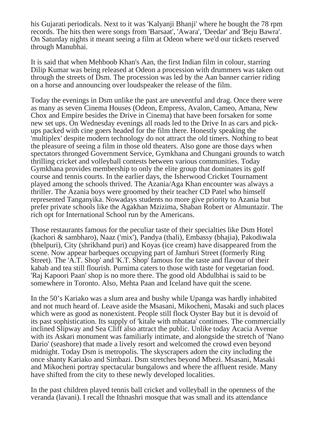his Gujarati periodicals. Next to it was 'Kalyanji Bhanji' where he bought the 78 rpm records. The hits then were songs from 'Barsaat', 'Awara', 'Deedar' and 'Beju Bawra'. On Saturday nights it meant seeing a film at Odeon where we'd our tickets reserved through Manubhai.

It is said that when Mehboob Khan's Aan, the first Indian film in colour, starring Dilip Kumar was being released at Odeon a procession with drummers was taken out through the streets of Dsm. The procession was led by the Aan banner carrier riding on a horse and announcing over loudspeaker the release of the film.

Today the evenings in Dsm unlike the past are uneventful and drag. Once there were as many as seven Cinema Houses (Odeon, Empress, Avalon, Cameo, Amana, New Chox and Empire besides the Drive in Cinema) that have been forsaken for some new set ups. On Wednesday evenings all roads led to the Drive In as cars and pickups packed with cine goers headed for the film there. Honestly speaking the 'multiplex' despite modern technology do not attract the old timers. Nothing to beat the pleasure of seeing a film in those old theaters. Also gone are those days when spectators thronged Government Service, Gymkhana and Chungani grounds to watch thrilling cricket and volleyball contests between various communities. Today Gymkhana provides membership to only the elite group that dominates its golf course and tennis courts. In the earlier days, the Isherwood Cricket Tournament played among the schools thrived. The Azania/Aga Khan encounter was always a thriller. The Azania boys were groomed by their teacher CD Patel who himself represented Tanganyika. Nowadays students no more give priority to Azania but prefer private schools like the Agakhan Mzizima, Shaban Robert or Almuntazir. The rich opt for International School run by the Americans.

Those restaurants famous for the peculiar taste of their specialties like Dsm Hotel (kachori & sambharo), Naaz ('mix'), Pandya (thali), Embassy (bhajia), Pakodiwala (bhelpuri), City (shrikhand puri) and Koyas (ice cream) have disappeared from the scene. Now appear barbeques occupying part of Jamhuri Street (formerly Ring Street). The 'A.T. Shop' and 'K.T. Shop' famous for the taste and flavour of their kabab and tea still flourish. Purnima caters to those with taste for vegetarian food. 'Raj Kapoori Paan' shop is no more there. The good old Abdulbhai is said to be somewhere in Toronto. Also, Mehta Paan and Iceland have quit the scene.

In the 50's Kariako was a slum area and bushy while Upanga was hardly inhabited and not much heard of. Leave aside the Msasani, Mikocheni, Masaki and such places which were as good as nonexistent. People still flock Oyster Bay but it is devoid of its past sophistication. Its supply of 'kitale with mbatata' continues. The commercially inclined Slipway and Sea Cliff also attract the public. Unlike today Acacia Avenue with its Askari monument was familiarly intimate, and alongside the stretch of 'Nano Dario' (seashore) that made a lively resort and welcomed the crowd even beyond midnight. Today Dsm is metropolis. The skyscrapers adorn the city including the once shanty Kariako and Simbazi. Dsm stretches beyond Mbezi. Msasani, Masaki and Mikocheni portray spectacular bungalows and where the affluent reside. Many have shifted from the city to these newly developed localities.

In the past children played tennis ball cricket and volleyball in the openness of the veranda (lavani). I recall the Ithnashri mosque that was small and its attendance